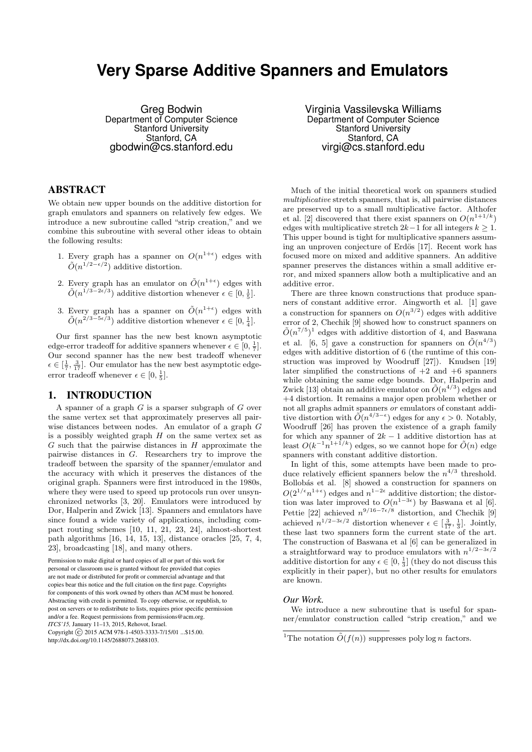# **Very Sparse Additive Spanners and Emulators**

Greg Bodwin Department of Computer Science Stanford University Stanford, CA gbodwin@cs.stanford.edu

### ABSTRACT

We obtain new upper bounds on the additive distortion for graph emulators and spanners on relatively few edges. We introduce a new subroutine called "strip creation," and we combine this subroutine with several other ideas to obtain the following results:

- 1. Every graph has a spanner on  $O(n^{1+\epsilon})$  edges with  $\tilde{O}(n^{1/2-\epsilon/2})$  additive distortion.
- 2. Every graph has an emulator on  $\tilde{O}(n^{1+\epsilon})$  edges with  $\tilde{O}(n^{1/3-2\epsilon/3})$  additive distortion whenever  $\epsilon \in [0, \frac{1}{5}].$
- 3. Every graph has a spanner on  $\tilde{O}(n^{1+\epsilon})$  edges with  $\tilde{O}(n^{2/3-5\epsilon/3})$  additive distortion whenever  $\epsilon \in [0, \frac{1}{4}]$ .

Our first spanner has the new best known asymptotic edge-error tradeoff for additive spanners whenever  $\epsilon \in [0, \frac{1}{7}]$ . Our second spanner has the new best tradeoff whenever  $\epsilon \in \left[\frac{1}{7}, \frac{3}{17}\right]$ . Our emulator has the new best asymptotic edgeerror tradeoff whenever  $\epsilon \in [0, \frac{1}{5}].$ 

# 1. INTRODUCTION

A spanner of a graph  $G$  is a sparser subgraph of  $G$  over the same vertex set that approximately preserves all pairwise distances between nodes. An emulator of a graph G is a possibly weighted graph  $H$  on the same vertex set as  $G$  such that the pairwise distances in  $H$  approximate the pairwise distances in G. Researchers try to improve the tradeoff between the sparsity of the spanner/emulator and the accuracy with which it preserves the distances of the original graph. Spanners were first introduced in the 1980s, where they were used to speed up protocols run over unsynchronized networks [3, 20]. Emulators were introduced by Dor, Halperin and Zwick [13]. Spanners and emulators have since found a wide variety of applications, including compact routing schemes [10, 11, 21, 23, 24], almost-shortest path algorithms [16, 14, 15, 13], distance oracles [25, 7, 4, 23], broadcasting [18], and many others.

Permission to make digital or hard copies of all or part of this work for personal or classroom use is granted without fee provided that copies are not made or distributed for profit or commercial advantage and that copies bear this notice and the full citation on the first page. Copyrights for components of this work owned by others than ACM must be honored. Abstracting with credit is permitted. To copy otherwise, or republish, to post on servers or to redistribute to lists, requires prior specific permission and/or a fee. Request permissions from permissions@acm.org. *ITCS'15,* January 11–13, 2015, Rehovot, Israel. Copyright (C) 2015 ACM 978-1-4503-3333-7/15/01 ...\$15.00. http://dx.doi.org/10.1145/2688073.2688103.

Virginia Vassilevska Williams Department of Computer Science Stanford University Stanford, CA virgi@cs.stanford.edu

Much of the initial theoretical work on spanners studied multiplicative stretch spanners, that is, all pairwise distances are preserved up to a small multiplicative factor. Althofer et al. [2] discovered that there exist spanners on  $O(n^{1+1/k})$ edges with multiplicative stretch  $2k-1$  for all integers  $k \geq 1$ . This upper bound is tight for multiplicative spanners assuming an unproven conjecture of Erdös [17]. Recent work has focused more on mixed and additive spanners. An additive spanner preserves the distances within a small additive error, and mixed spanners allow both a multiplicative and an additive error.

There are three known constructions that produce spanners of constant additive error. Aingworth et al. [1] gave a construction for spanners on  $O(n^{3/2})$  edges with additive error of 2, Chechik [9] showed how to construct spanners on  $\tilde{O}(n^{7/5})^1$  edges with additive distortion of 4, and Baswana et al. [6, 5] gave a construction for spanners on  $\tilde{O}(n^{4/3})$ edges with additive distortion of 6 (the runtime of this construction was improved by Woodruff [27]). Knudsen [19] later simplified the constructions of  $+2$  and  $+6$  spanners while obtaining the same edge bounds. Dor, Halperin and Zwick [13] obtain an additive emulator on  $\tilde{O}(n^{4/3})$  edges and +4 distortion. It remains a major open problem whether or not all graphs admit spanners or emulators of constant additive distortion with  $\tilde{O}(n^{4/3-\epsilon})$  edges for any  $\epsilon > 0$ . Notably, Woodruff [26] has proven the existence of a graph family for which any spanner of  $2k-1$  additive distortion has at least  $O(k^{-1}n^{1+\hat{1}/k})$  edges, so we cannot hope for  $\tilde{O}(n)$  edge spanners with constant additive distortion.

In light of this, some attempts have been made to produce relatively efficient spanners below the  $n^{4/3}$  threshold. Bollobás et al. [8] showed a construction for spanners on  $O(2^{1/\epsilon} n^{1+\epsilon})$  edges and  $n^{1-2\epsilon}$  additive distortion; the distortion was later improved to  $O(n^{1-3\epsilon})$  by Baswana et al [6]. Pettie [22] achieved  $n^{9/16-7\epsilon/8}$  distortion, and Chechik [9] achieved  $n^{1/2-3\epsilon/2}$  distortion whenever  $\epsilon \in \left[\frac{3}{17},\frac{1}{3}\right]$ . Jointly, these last two spanners form the current state of the art. The construction of Baswana et al [6] can be generalized in a straightforward way to produce emulators with  $n^{1/2-3\epsilon/2}$ additive distortion for any  $\epsilon \in [0, \frac{1}{3}]$  (they do not discuss this explicitly in their paper), but no other results for emulators are known.

### *Our Work.*

We introduce a new subroutine that is useful for spanner/emulator construction called "strip creation," and we

<sup>&</sup>lt;sup>1</sup>The notation  $\tilde{O}(f(n))$  suppresses poly log *n* factors.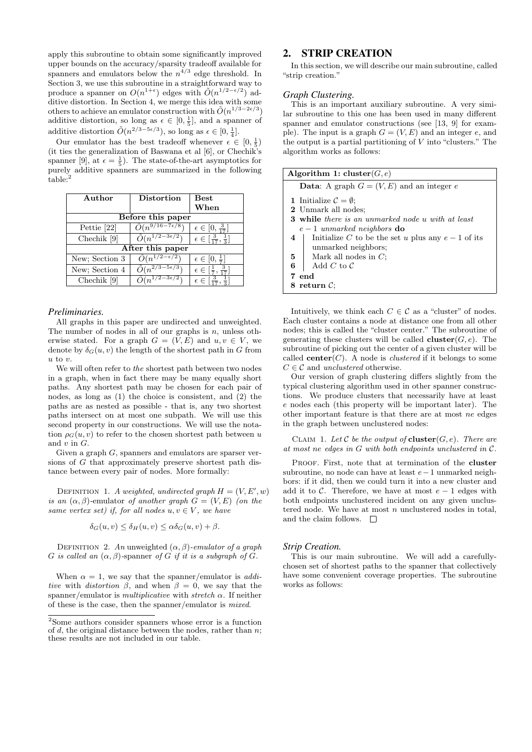apply this subroutine to obtain some significantly improved upper bounds on the accuracy/sparsity tradeoff available for spanners and emulators below the  $n^{4/3}$  edge threshold. In Section 3, we use this subroutine in a straightforward way to produce a spanner on  $O(n^{1+\epsilon})$  edges with  $\tilde{O}(n^{1/2-\epsilon/2})$  additive distortion. In Section 4, we merge this idea with some others to achieve an emulator construction with  $\tilde{O}(n^{1/3-2\epsilon/3})$ additive distortion, so long as  $\epsilon \in [0, \frac{1}{5}]$ , and a spanner of additive distortion  $\tilde{O}(n^{2/3-5\epsilon/3})$ , so long as  $\epsilon \in [0, \frac{1}{4}]$ .

Our emulator has the best tradeoff whenever  $\epsilon \in [0, \frac{1}{5})$ (it ties the generalization of Baswana et al [6], or Chechik's spanner [9], at  $\epsilon = \frac{1}{5}$ . The state-of-the-art asymptotics for purely additive spanners are summarized in the following table:

| Author            | <b>Distortion</b> | Best<br>When                                         |  |
|-------------------|-------------------|------------------------------------------------------|--|
| Before this paper |                   |                                                      |  |
| Pettie [22]       | $O(n^{97})$       | $\epsilon \in [0, \frac{3}{17}]$                     |  |
| Chechik [9]       |                   | $\epsilon \in \left[\frac{3}{17},\frac{1}{3}\right]$ |  |
| After this paper  |                   |                                                      |  |
| New; Section 3    |                   | $\epsilon \in [0, \frac{1}{7}]$                      |  |
| New; Section 4    |                   | $\epsilon \in [\frac{1}{7}, \cdot]$                  |  |
| Chechik [9]       |                   | $\epsilon \in \lceil \frac{3}{2} \rceil$             |  |

#### *Preliminaries.*

All graphs in this paper are undirected and unweighted. The number of nodes in all of our graphs is  $n$ , unless otherwise stated. For a graph  $G = (V, E)$  and  $u, v \in V$ , we denote by  $\delta_G(u, v)$  the length of the shortest path in G from  $u$  to  $v$ .

We will often refer to the shortest path between two nodes in a graph, when in fact there may be many equally short paths. Any shortest path may be chosen for each pair of nodes, as long as (1) the choice is consistent, and (2) the paths are as nested as possible - that is, any two shortest paths intersect on at most one subpath. We will use this second property in our constructions. We will use the notation  $\rho_G(u, v)$  to refer to the chosen shortest path between u and  $v$  in  $G$ .

Given a graph G, spanners and emulators are sparser versions of G that approximately preserve shortest path distance between every pair of nodes. More formally:

DEFINITION 1. A weighted, undirected graph  $H = (V, E', w)$ is an  $(\alpha, \beta)$ -emulator of another graph  $G = (V, E)$  (on the same vertex set) if, for all nodes  $u, v \in V$ , we have

$$
\delta_G(u, v) \le \delta_H(u, v) \le \alpha \delta_G(u, v) + \beta.
$$

DEFINITION 2. An unweighted  $(\alpha, \beta)$ -emulator of a graph G is called an  $(\alpha, \beta)$ -spanner of G if it is a subgraph of G.

When  $\alpha = 1$ , we say that the spanner/emulator is *addi*tive with distortion  $\beta$ , and when  $\beta = 0$ , we say that the spanner/emulator is *multiplicative* with *stretch*  $\alpha$ . If neither of these is the case, then the spanner/emulator is mixed.

# 2. STRIP CREATION

In this section, we will describe our main subroutine, called "strip creation."

### *Graph Clustering.*

This is an important auxiliary subroutine. A very similar subroutine to this one has been used in many different spanner and emulator constructions (see [13, 9] for example). The input is a graph  $G = (V, E)$  and an integer e, and the output is a partial partitioning of  $V$  into "clusters." The algorithm works as follows:

| Algorithm 1: cluster( $G, e$ )                           |  |  |
|----------------------------------------------------------|--|--|
| <b>Data:</b> A graph $G = (V, E)$ and an integer e       |  |  |
| 1 Initialize $\mathcal{C} = \emptyset$ ;                 |  |  |
| 2 Unmark all nodes:                                      |  |  |
| <b>3</b> while there is an unmarked node u with at least |  |  |
| $e-1$ unmarked neighbors <b>do</b>                       |  |  |
| Initialize C to be the set u plus any $e-1$ of its<br>4  |  |  |
| unmarked neighbors;                                      |  |  |
| $\mathbf{5}$   Mark all nodes in C;                      |  |  |
| 6<br>Add $C$ to $\mathcal C$                             |  |  |
| 7 end                                                    |  |  |
| 8 return $\mathcal{C}$ :                                 |  |  |
|                                                          |  |  |

Intuitively, we think each  $C \in \mathcal{C}$  as a "cluster" of nodes. Each cluster contains a node at distance one from all other nodes; this is called the "cluster center." The subroutine of generating these clusters will be called **cluster**( $G, e$ ). The subroutine of picking out the center of a given cluster will be called **center** $(C)$ . A node is *clustered* if it belongs to some  $C \in \mathcal{C}$  and unclustered otherwise.

Our version of graph clustering differs slightly from the typical clustering algorithm used in other spanner constructions. We produce clusters that necessarily have at least e nodes each (this property will be important later). The other important feature is that there are at most ne edges in the graph between unclustered nodes:

CLAIM 1. Let  $\mathcal C$  be the output of **cluster** $(G, e)$ . There are at most ne edges in G with both endpoints unclustered in C.

PROOF. First, note that at termination of the cluster subroutine, no node can have at least  $e-1$  unmarked neighbors: if it did, then we could turn it into a new cluster and add it to  $\mathcal{C}$ . Therefore, we have at most  $e-1$  edges with both endpoints unclustered incident on any given unclustered node. We have at most  $n$  unclustered nodes in total, and the claim follows.  $\square$ 

#### *Strip Creation.*

This is our main subroutine. We will add a carefullychosen set of shortest paths to the spanner that collectively have some convenient coverage properties. The subroutine works as follows:

<sup>2</sup>Some authors consider spanners whose error is a function of  $d$ , the original distance between the nodes, rather than  $n$ ; these results are not included in our table.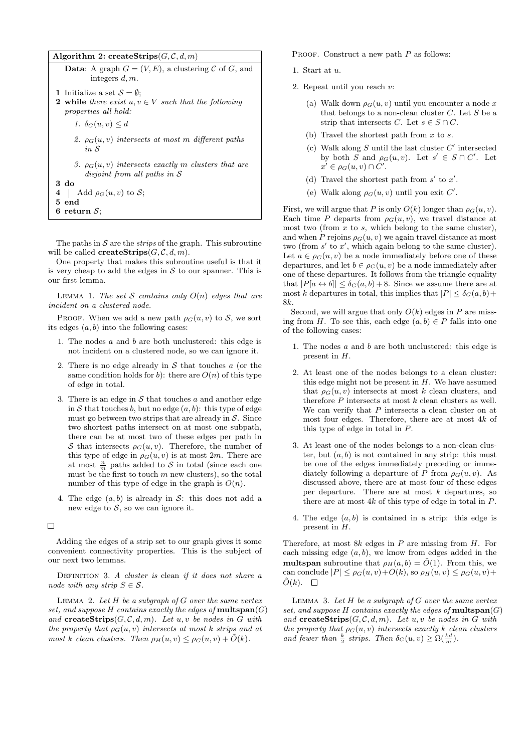|                                                                                                                                 | Algorithm 2: createStrips( $G, C, d, m$ )                                                    |  |
|---------------------------------------------------------------------------------------------------------------------------------|----------------------------------------------------------------------------------------------|--|
|                                                                                                                                 | <b>Data:</b> A graph $G = (V, E)$ , a clustering C of G, and<br>integers $d, m$ .            |  |
| 1 Initialize a set $S = \emptyset$ ;<br><b>2</b> while there exist $u, v \in V$ such that the following<br>properties all hold: |                                                                                              |  |
|                                                                                                                                 | 1. $\delta_G(u, v) \leq d$<br>2. $\rho_G(u, v)$ intersects at most m different paths<br>in S |  |
|                                                                                                                                 | 3. $\rho_G(u, v)$ intersects exactly m clusters that are<br>disjoint from all paths in $S$   |  |
| $3\,$ do                                                                                                                        |                                                                                              |  |
| 4                                                                                                                               | Add $\rho_G(u, v)$ to S;                                                                     |  |
| $5$ end                                                                                                                         |                                                                                              |  |
|                                                                                                                                 | 6 return $S$ ;                                                                               |  |

The paths in  $S$  are the *strips* of the graph. This subroutine will be called **createStrips** $(G, \mathcal{C}, d, m)$ .

One property that makes this subroutine useful is that it is very cheap to add the edges in  $S$  to our spanner. This is our first lemma.

LEMMA 1. The set S contains only  $O(n)$  edges that are incident on a clustered node.

PROOF. When we add a new path  $\rho_G(u, v)$  to S, we sort its edges  $(a, b)$  into the following cases:

- 1. The nodes a and b are both unclustered: this edge is not incident on a clustered node, so we can ignore it.
- 2. There is no edge already in  $S$  that touches  $\alpha$  (or the same condition holds for b): there are  $O(n)$  of this type of edge in total.
- 3. There is an edge in  $S$  that touches a and another edge in S that touches b, but no edge  $(a, b)$ : this type of edge must go between two strips that are already in  $S$ . Since two shortest paths intersect on at most one subpath, there can be at most two of these edges per path in S that intersects  $\rho_G(u, v)$ . Therefore, the number of this type of edge in  $\rho_G(u, v)$  is at most 2m. There are at most  $\frac{n}{m}$  paths added to S in total (since each one must be the first to touch  $m$  new clusters), so the total number of this type of edge in the graph is  $O(n)$ .
- 4. The edge  $(a, b)$  is already in S: this does not add a new edge to  $S$ , so we can ignore it.

### $\Box$

Adding the edges of a strip set to our graph gives it some convenient connectivity properties. This is the subject of our next two lemmas.

DEFINITION 3. A cluster is clean if it does not share a node with any strip  $S \in \mathcal{S}$ .

LEMMA 2. Let  $H$  be a subgraph of  $G$  over the same vertex set, and suppose  $H$  contains exactly the edges of **multspan** $(G)$ and createStrips $(G, \mathcal{C}, d, m)$ . Let  $u, v$  be nodes in G with the property that  $\rho_G(u, v)$  intersects at most k strips and at most k clean clusters. Then  $\rho_H(u, v) \leq \rho_G(u, v) + \tilde{O}(k)$ .

PROOF. Construct a new path  $P$  as follows:

- 1. Start at u.
- 2. Repeat until you reach v:
	- (a) Walk down  $\rho_G(u, v)$  until you encounter a node x that belongs to a non-clean cluster  $C$ . Let  $S$  be a strip that intersects C. Let  $s \in S \cap C$ .
	- (b) Travel the shortest path from  $x$  to  $s$ .
	- (c) Walk along  $S$  until the last cluster  $C'$  intersected by both S and  $\rho_G(u, v)$ . Let  $s' \in S \cap C'$ . Let  $x' \in \rho_G(u, v) \cap C'.$
	- (d) Travel the shortest path from  $s'$  to  $x'$ .
	- (e) Walk along  $\rho_G(u, v)$  until you exit C'.

First, we will argue that P is only  $O(k)$  longer than  $\rho_G(u, v)$ . Each time P departs from  $\rho_G(u, v)$ , we travel distance at most two (from  $x$  to  $s$ , which belong to the same cluster), and when P rejoins  $\rho_G(u, v)$  we again travel distance at most two (from  $s'$  to  $x'$ , which again belong to the same cluster). Let  $a \in \rho_G(u, v)$  be a node immediately before one of these departures, and let  $b \in \rho_G(u, v)$  be a node immediately after one of these departures. It follows from the triangle equality that  $|P[a \leftrightarrow b]| \leq \delta_G(a, b) + 8$ . Since we assume there are at most k departures in total, this implies that  $|P| \leq \delta_G(a, b)$  + 8k.

Second, we will argue that only  $O(k)$  edges in P are missing from H. To see this, each edge  $(a, b) \in P$  falls into one of the following cases:

- 1. The nodes  $a$  and  $b$  are both unclustered: this edge is present in H.
- 2. At least one of the nodes belongs to a clean cluster: this edge might not be present in  $H$ . We have assumed that  $\rho_G(u, v)$  intersects at most k clean clusters, and therefore  $P$  intersects at most  $k$  clean clusters as well. We can verify that  $P$  intersects a clean cluster on at most four edges. Therefore, there are at most 4k of this type of edge in total in P.
- 3. At least one of the nodes belongs to a non-clean cluster, but  $(a, b)$  is not contained in any strip: this must be one of the edges immediately preceding or immediately following a departure of P from  $\rho_G(u, v)$ . As discussed above, there are at most four of these edges per departure. There are at most  $k$  departures, so there are at most  $4k$  of this type of edge in total in  $P$ .
- 4. The edge  $(a, b)$  is contained in a strip: this edge is present in H.

Therefore, at most  $8k$  edges in P are missing from H. For each missing edge  $(a, b)$ , we know from edges added in the **multspan** subroutine that  $\rho_H(a, b) = \tilde{O}(1)$ . From this, we can conclude  $|P| \leq \rho_G(u, v) + O(k)$ , so  $\rho_H(u, v) \leq \rho_G(u, v) +$  $\tilde{O}(k)$ .  $\Box$ 

LEMMA 3. Let  $H$  be a subgraph of  $G$  over the same vertex set, and suppose  $H$  contains exactly the edges of **multspan** $(G)$ and createStrips $(G, \mathcal{C}, d, m)$ . Let u, v be nodes in G with the property that  $\rho_G(u, v)$  intersects exactly k clean clusters and fewer than  $\frac{k}{2}$  strips. Then  $\delta_G(u, v) \ge \Omega(\frac{kd}{m})$ .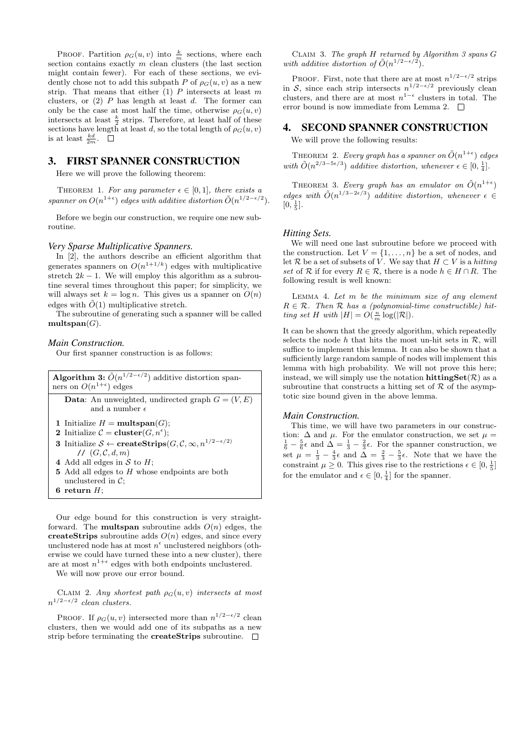PROOF. Partition  $\rho_G(u, v)$  into  $\frac{k}{m}$  sections, where each section contains exactly  $m$  clean clusters (the last section might contain fewer). For each of these sections, we evidently chose not to add this subpath P of  $\rho_G(u, v)$  as a new strip. That means that either  $(1)$  P intersects at least m clusters, or  $(2)$  P has length at least d. The former can only be the case at most half the time, otherwise  $\rho_G(u, v)$ intersects at least  $\frac{k}{2}$  strips. Therefore, at least half of these sections have length at least d, so the total length of  $\rho_G(u, v)$ is at least  $\frac{kd}{2m}$ .

## 3. FIRST SPANNER CONSTRUCTION

Here we will prove the following theorem:

THEOREM 1. For any parameter  $\epsilon \in [0,1]$ , there exists a spanner on  $O(n^{1+\epsilon})$  edges with additive distortion  $\tilde{O}(n^{1/2-\epsilon/2})$ .

Before we begin our construction, we require one new subroutine.

#### *Very Sparse Multiplicative Spanners.*

In [2], the authors describe an efficient algorithm that generates spanners on  $O(n^{1+1/k})$  edges with multiplicative stretch  $2k - 1$ . We will employ this algorithm as a subroutine several times throughout this paper; for simplicity, we will always set  $k = \log n$ . This gives us a spanner on  $O(n)$ edges with  $\tilde{O}(1)$  multiplicative stretch.

The subroutine of generating such a spanner will be called multspan $(G)$ .

### *Main Construction.*

Our first spanner construction is as follows:

| <b>Algorithm 3:</b> $\tilde{O}(n^{1/2-\epsilon/2})$ additive distortion span-<br>ners on $O(n^{1+\epsilon})$ edges |  |  |
|--------------------------------------------------------------------------------------------------------------------|--|--|
| <b>Data:</b> An unweighted, undirected graph $G = (V, E)$                                                          |  |  |
| and a number $\epsilon$                                                                                            |  |  |
| 1 Initialize $H = \text{multspan}(G);$                                                                             |  |  |
| 2 Initialize $\mathcal{C} =$ cluster $(G, n^{\epsilon})$ ;                                                         |  |  |
| <b>3</b> Initialize $S \leftarrow \text{createStrings}(G, \mathcal{C}, \infty, n^{1/2 - \epsilon/2})$              |  |  |
| 1/G, C, d, m                                                                                                       |  |  |
| 4 Add all edges in S to $H$ ;                                                                                      |  |  |
| <b>5</b> Add all edges to H whose endpoints are both                                                               |  |  |
| unclustered in $\mathcal{C}$ :                                                                                     |  |  |
| 6 return $H$ :                                                                                                     |  |  |

Our edge bound for this construction is very straightforward. The **multspan** subroutine adds  $O(n)$  edges, the createStrips subroutine adds  $O(n)$  edges, and since every unclustered node has at most  $n^{\epsilon}$  unclustered neighbors (otherwise we could have turned these into a new cluster), there are at most  $n^{1+\epsilon}$  edges with both endpoints unclustered.

We will now prove our error bound.

CLAIM 2. Any shortest path  $\rho_G(u, v)$  intersects at most  $n^{1/2-\epsilon/2}$  clean clusters.

PROOF. If  $\rho_G(u, v)$  intersected more than  $n^{1/2 - \epsilon/2}$  clean clusters, then we would add one of its subpaths as a new strip before terminating the **createStrips** subroutine.  $\Box$ 

Claim 3. The graph H returned by Algorithm 3 spans G with additive distortion of  $\tilde{O}(n^{1/2-\epsilon/2})$ .

PROOF. First, note that there are at most  $n^{1/2-\epsilon/2}$  strips in S, since each strip intersects  $n^{1/2-\epsilon/2}$  previously clean clusters, and there are at most  $n^{1-\epsilon}$  clusters in total. The error bound is now immediate from Lemma 2.  $\Box$ 

### 4. SECOND SPANNER CONSTRUCTION

We will prove the following results:

THEOREM 2. Every graph has a spanner on  $\tilde{O}(n^{1+\epsilon})$  edges with  $\tilde{O}(n^{2/3-5\epsilon/3})$  additive distortion, whenever  $\epsilon \in [0, \frac{1}{4}]$ .

THEOREM 3. Every graph has an emulator on  $\tilde{O}(n^{1+\epsilon})$ edges with  $\tilde{O}(n^{1/3-2\epsilon/3})$  additive distortion, whenever  $\epsilon \in$  $[0, \frac{1}{5}].$ 

#### *Hitting Sets.*

We will need one last subroutine before we proceed with the construction. Let  $V = \{1, \ldots, n\}$  be a set of nodes, and let R be a set of subsets of V. We say that  $H \subset V$  is a hitting set of R if for every  $R \in \mathcal{R}$ , there is a node  $h \in H \cap R$ . The following result is well known:

LEMMA 4. Let  $m$  be the minimum size of any element  $R \in \mathcal{R}$ . Then  $\mathcal R$  has a (polynomial-time constructible) hitting set H with  $|H| = O(\frac{n}{m} \log(|\mathcal{R}|)).$ 

It can be shown that the greedy algorithm, which repeatedly selects the node h that hits the most un-hit sets in  $\mathcal{R}$ , will suffice to implement this lemma. It can also be shown that a sufficiently large random sample of nodes will implement this lemma with high probability. We will not prove this here; instead, we will simply use the notation  $\mathbf{hittingSet}(\mathcal{R})$  as a subroutine that constructs a hitting set of  $R$  of the asymptotic size bound given in the above lemma.

### *Main Construction.*

This time, we will have two parameters in our construction:  $\Delta$  and  $\mu$ . For the emulator construction, we set  $\mu =$  $\frac{1}{6} - \frac{5}{6}\epsilon$  and  $\Delta = \frac{1}{3} - \frac{2}{3}\epsilon$ . For the spanner construction, we set  $\mu = \frac{1}{3} - \frac{4}{3}\epsilon$  and  $\Delta = \frac{2}{3} - \frac{5}{3}\epsilon$ . Note that we have the constraint  $\mu \geq 0$ . This gives rise to the restrictions  $\epsilon \in [0, \frac{1}{5}]$ for the emulator and  $\epsilon \in [0, \frac{1}{4}]$  for the spanner.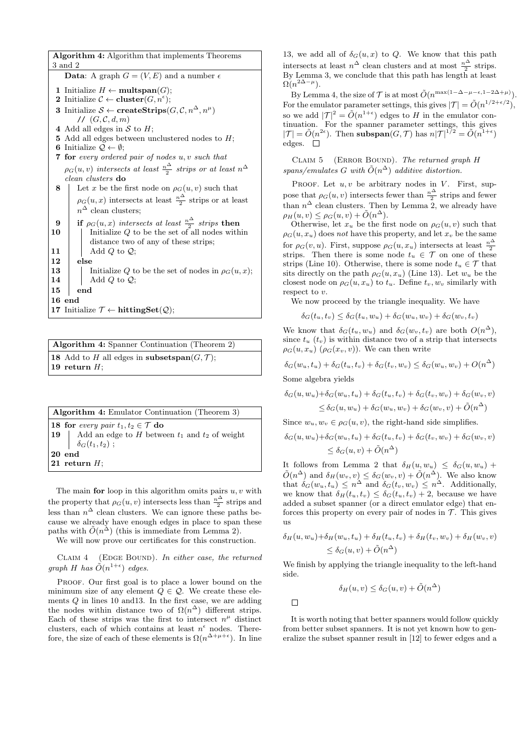Algorithm 4: Algorithm that implements Theorems 3 and 2 **Data:** A graph  $G = (V, E)$  and a number  $\epsilon$ 1 Initialize  $H \leftarrow \textbf{multspan}(G);$ 2 Initialize  $\mathcal{C} \leftarrow \textbf{cluster}(G, n^{\epsilon});$ 3 Initialize  $S \leftarrow \textbf{createStrings}(G, \mathcal{C}, n^{\Delta}, n^{\mu})$ //  $(G, \mathcal{C}, d, m)$ 4 Add all edges in  $S$  to  $H$ ; 5 Add all edges between unclustered nodes to  $H$ : 6 Initialize  $\mathcal{Q} \leftarrow \emptyset$ ; 7 for every ordered pair of nodes u, v such that  $\rho_G(u,v)$  intersects at least  $\frac{n^{\Delta}}{2}$  strips or at least  $n^{\Delta}$ clean clusters do Let x be the first node on  $\rho_G(u, v)$  such that  $\rho_G(u, x)$  intersects at least  $\frac{n^{\Delta}}{2}$  strips or at least  $n^{\Delta}$  clean clusters; **9** if  $\rho_G(u, x)$  intersects at least  $\frac{n\Delta}{2}$  strips then  $10$  | Initialize Q to be the set of all nodes within distance two of any of these strips; 11  $\parallel$  Add Q to Q; 12 else 13 Initialize Q to be the set of nodes in  $\rho_G(u, x)$ ; 14  $\parallel$  Add Q to Q; 15 end 16 end 17 Initialize  $\mathcal{T} \leftarrow$  hittingSet $(\mathcal{Q})$ ;

Algorithm 4: Spanner Continuation (Theorem 2) 18 Add to H all edges in subsetspan $(G, \mathcal{T})$ ; 19 return  $H$ ;

| <b>Algorithm 4:</b> Emulator Continuation (Theorem 3) |                                                           |  |
|-------------------------------------------------------|-----------------------------------------------------------|--|
| 18 for every pair $t_1, t_2 \in \mathcal{T}$ do       |                                                           |  |
|                                                       | 19   Add an edge to $H$ between $t_1$ and $t_2$ of weight |  |
|                                                       | $\delta_G(t_1,t_2)$ ;                                     |  |
| $20$ end                                              |                                                           |  |
| 21 return $H$ :                                       |                                                           |  |
|                                                       |                                                           |  |

The main for loop in this algorithm omits pairs  $u, v$  with the property that  $\rho_G(u, v)$  intersects less than  $\frac{n^{\Delta}}{2}$  strips and less than  $n^{\Delta}$  clean clusters. We can ignore these paths because we already have enough edges in place to span these paths with  $\tilde{O}(n^{\tilde{\Delta}})$  (this is immediate from Lemma 2).

We will now prove our certificates for this construction.

CLAIM  $4$  (EDGE BOUND). In either case, the returned graph H has  $\tilde{O}(n^{1+\epsilon})$  edges.

PROOF. Our first goal is to place a lower bound on the minimum size of any element  $Q \in \mathcal{Q}$ . We create these elements Q in lines 10 and13. In the first case, we are adding the nodes within distance two of  $\Omega(n^{\Delta})$  different strips. Each of these strips was the first to intersect  $n^{\mu}$  distinct clusters, each of which contains at least  $n^{\epsilon}$  nodes. Therefore, the size of each of these elements is  $\Omega(n^{\Delta+\mu+\epsilon})$ . In line

13, we add all of  $\delta_G(u, x)$  to Q. We know that this path intersects at least  $n^{\Delta}$  clean clusters and at most  $\frac{n^{\Delta}}{2}$  strips. By Lemma 3, we conclude that this path has length at least  $\Omega(n^{2\Delta-\mu}).$ 

By Lemma 4, the size of  $\mathcal T$  is at most  $\tilde O(n^{\max(1-\Delta-\mu-\epsilon,1-2\Delta+\mu)})$ . For the emulator parameter settings, this gives  $|\mathcal{T}| = \tilde{O}(n^{1/2 + \epsilon/2}),$ so we add  $|\mathcal{T}|^2 = \tilde{O}(n^{1+\epsilon})$  edges to H in the emulator continuation. For the spanner parameter settings, this gives  $|\mathcal{T}| = \tilde{O}(n^{2\epsilon}).$  Then subspan $(G,\mathcal{T})$  has  $n|\mathcal{T}|^{1/2} = \tilde{O}(n^{1+\epsilon})$ edges.  $\square$ 

CLAIM  $5$  (ERROR BOUND). The returned graph H spans/emulates G with  $\tilde{O}(n^{\Delta})$  additive distortion.

PROOF. Let  $u, v$  be arbitrary nodes in  $V$ . First, suppose that  $\rho_G(u, v)$  intersects fewer than  $\frac{n^{\Delta}}{2}$  strips and fewer than  $n^{\Delta}$  clean clusters. Then by Lemma 2, we already have  $\rho_H(u, v) \leq \rho_G(u, v) + \tilde{O}(n^{\Delta}).$ 

Otherwise, let  $x_u$  be the first node on  $\rho_G(u, v)$  such that  $\rho_G(u, x_u)$  does not have this property, and let  $x_v$  be the same for  $\rho_G(v, u)$ . First, suppose  $\rho_G(u, x_u)$  intersects at least  $\frac{n^{\Delta}}{2}$ strips. Then there is some node  $t_u \in \mathcal{T}$  on one of these strips (Line 10). Otherwise, there is some node  $t_u \in \mathcal{T}$  that sits directly on the path  $\rho_G(u, x_u)$  (Line 13). Let  $w_u$  be the closest node on  $\rho_G(u, x_u)$  to  $t_u$ . Define  $t_v, w_v$  similarly with respect to  $v$ .

We now proceed by the triangle inequality. We have

$$
\delta_G(t_u, t_v) \le \delta_G(t_u, w_u) + \delta_G(w_u, w_v) + \delta_G(w_v, t_v)
$$

We know that  $\delta_G(t_u, w_u)$  and  $\delta_G(w_v, t_v)$  are both  $O(n^{\Delta}),$ since  $t_u$  ( $t_v$ ) is within distance two of a strip that intersects  $\rho_G(u, x_u)$   $(\rho_G(x_v, v))$ . We can then write

$$
\delta_G(w_u, t_u) + \delta_G(t_u, t_v) + \delta_G(t_v, w_v) \leq \delta_G(w_u, w_v) + O(n^{\Delta})
$$

Some algebra yields

$$
\delta_G(u, w_u) + \delta_G(w_u, t_u) + \delta_G(t_u, t_v) + \delta_G(t_v, w_v) + \delta_G(w_v, v)
$$
  

$$
\leq \delta_G(u, w_u) + \delta_G(w_u, w_v) + \delta_G(w_v, v) + \tilde{O}(n^{\Delta})
$$

Since  $w_u, w_v \in \rho_G(u, v)$ , the right-hand side simplifies.

$$
\delta_G(u, w_u) + \delta_G(w_u, t_u) + \delta_G(t_u, t_v) + \delta_G(t_v, w_v) + \delta_G(w_v, v)
$$
  

$$
\leq \delta_G(u, v) + \tilde{O}(n^{\Delta})
$$

It follows from Lemma 2 that  $\delta_H(u, w_u) \leq \delta_G(u, w_u) +$  $\tilde{O}(n^{\Delta})$  and  $\delta_H(w_v, v) \leq \delta_G(w_v, v) + \tilde{O}(n^{\Delta})$ . We also know that  $\delta_G(w_u, t_u) \leq n^{\Delta}$  and  $\delta_G(t_v, w_v) \leq n^{\Delta}$ . Additionally, we know that  $\delta_H(t_u, t_v) \leq \delta_G(t_u, t_v) + 2$ , because we have added a subset spanner (or a direct emulator edge) that enforces this property on every pair of nodes in  $\mathcal T$ . This gives us

$$
\delta_H(u, w_u) + \delta_H(w_u, t_u) + \delta_H(t_u, t_v) + \delta_H(t_v, w_v) + \delta_H(w_v, v)
$$
  

$$
\leq \delta_G(u, v) + \tilde{O}(n^{\Delta})
$$

We finish by applying the triangle inequality to the left-hand side.

$$
\delta_H(u,v) \le \delta_G(u,v) + \tilde{O}(n^{\Delta})
$$

 $\Box$ 

It is worth noting that better spanners would follow quickly from better subset spanners. It is not yet known how to generalize the subset spanner result in [12] to fewer edges and a